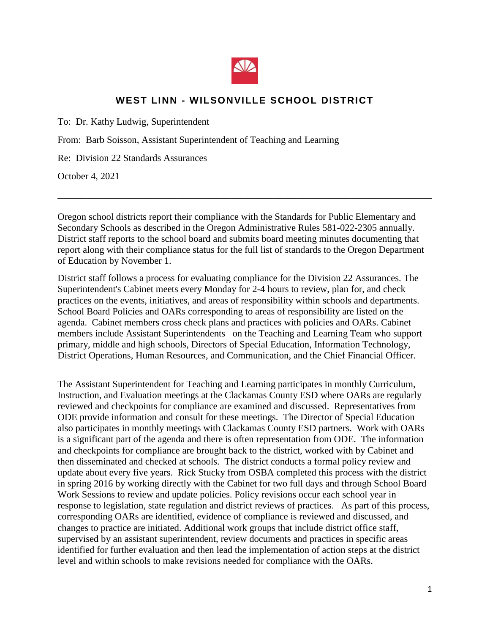

## **WEST LINN - WILSONVILLE SCHOOL DISTRICT**

To: Dr. Kathy Ludwig, Superintendent

From: Barb Soisson, Assistant Superintendent of Teaching and Learning

Re: Division 22 Standards Assurances

October 4, 2021

Oregon school districts report their compliance with the Standards for Public Elementary and Secondary Schools as described in the Oregon Administrative Rules 581-022-2305 annually. District staff reports to the school board and submits board meeting minutes documenting that report along with their compliance status for the full list of standards to the Oregon Department of Education by November 1.

\_\_\_\_\_\_\_\_\_\_\_\_\_\_\_\_\_\_\_\_\_\_\_\_\_\_\_\_\_\_\_\_\_\_\_\_\_\_\_\_\_\_\_\_\_\_\_\_\_\_\_\_\_\_\_\_\_\_\_\_\_\_\_\_\_\_\_\_\_\_\_\_\_\_\_\_\_\_

District staff follows a process for evaluating compliance for the Division 22 Assurances. The Superintendent's Cabinet meets every Monday for 2-4 hours to review, plan for, and check practices on the events, initiatives, and areas of responsibility within schools and departments. School Board Policies and OARs corresponding to areas of responsibility are listed on the agenda. Cabinet members cross check plans and practices with policies and OARs. Cabinet members include Assistant Superintendents on the Teaching and Learning Team who support primary, middle and high schools, Directors of Special Education, Information Technology, District Operations, Human Resources, and Communication, and the Chief Financial Officer.

The Assistant Superintendent for Teaching and Learning participates in monthly Curriculum, Instruction, and Evaluation meetings at the Clackamas County ESD where OARs are regularly reviewed and checkpoints for compliance are examined and discussed. Representatives from ODE provide information and consult for these meetings. The Director of Special Education also participates in monthly meetings with Clackamas County ESD partners. Work with OARs is a significant part of the agenda and there is often representation from ODE. The information and checkpoints for compliance are brought back to the district, worked with by Cabinet and then disseminated and checked at schools. The district conducts a formal policy review and update about every five years. Rick Stucky from OSBA completed this process with the district in spring 2016 by working directly with the Cabinet for two full days and through School Board Work Sessions to review and update policies. Policy revisions occur each school year in response to legislation, state regulation and district reviews of practices. As part of this process, corresponding OARs are identified, evidence of compliance is reviewed and discussed, and changes to practice are initiated. Additional work groups that include district office staff, supervised by an assistant superintendent, review documents and practices in specific areas identified for further evaluation and then lead the implementation of action steps at the district level and within schools to make revisions needed for compliance with the OARs.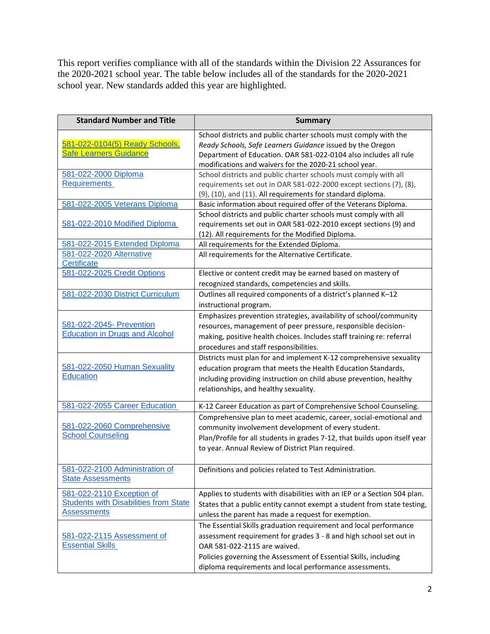This report verifies compliance with all of the standards within the Division 22 Assurances for the 2020-2021 school year. The table below includes all of the standards for the 2020-2021 school year. New standards added this year are highlighted.

| <b>Standard Number and Title</b>                                                                | <b>Summary</b>                                                                                                                                                                                                                                                                                         |
|-------------------------------------------------------------------------------------------------|--------------------------------------------------------------------------------------------------------------------------------------------------------------------------------------------------------------------------------------------------------------------------------------------------------|
| 581-022-0104(5) Ready Schools,<br><b>Safe Learners Guidance</b>                                 | School districts and public charter schools must comply with the<br>Ready Schools, Safe Learners Guidance issued by the Oregon<br>Department of Education. OAR 581-022-0104 also includes all rule<br>modifications and waivers for the 2020-21 school year.                                           |
| 581-022-2000 Diploma<br><b>Requirements</b>                                                     | School districts and public charter schools must comply with all<br>requirements set out in OAR 581-022-2000 except sections (7), (8),<br>(9), (10), and (11). All requirements for standard diploma.                                                                                                  |
| 581-022-2005 Veterans Diploma<br>581-022-2010 Modified Diploma                                  | Basic information about required offer of the Veterans Diploma.<br>School districts and public charter schools must comply with all<br>requirements set out in OAR 581-022-2010 except sections (9) and                                                                                                |
| 581-022-2015 Extended Diploma<br>581-022-2020 Alternative                                       | (12). All requirements for the Modified Diploma.<br>All requirements for the Extended Diploma.<br>All requirements for the Alternative Certificate.                                                                                                                                                    |
| Certificate<br>581-022-2025 Credit Options                                                      | Elective or content credit may be earned based on mastery of<br>recognized standards, competencies and skills.                                                                                                                                                                                         |
| 581-022-2030 District Curriculum                                                                | Outlines all required components of a district's planned K-12<br>instructional program.                                                                                                                                                                                                                |
| 581-022-2045- Prevention<br><b>Education in Drugs and Alcohol</b>                               | Emphasizes prevention strategies, availability of school/community<br>resources, management of peer pressure, responsible decision-<br>making, positive health choices. Includes staff training re: referral<br>procedures and staff responsibilities.                                                 |
| 581-022-2050 Human Sexuality<br><b>Education</b>                                                | Districts must plan for and implement K-12 comprehensive sexuality<br>education program that meets the Health Education Standards,<br>including providing instruction on child abuse prevention, healthy<br>relationships, and healthy sexuality.                                                      |
| 581-022-2055 Career Education                                                                   | K-12 Career Education as part of Comprehensive School Counseling.                                                                                                                                                                                                                                      |
| 581-022-2060 Comprehensive<br><b>School Counseling</b>                                          | Comprehensive plan to meet academic, career, social-emotional and<br>community involvement development of every student.<br>Plan/Profile for all students in grades 7-12, that builds upon itself year<br>to year. Annual Review of District Plan required.                                            |
| 581-022-2100 Administration of<br><b>State Assessments</b>                                      | Definitions and policies related to Test Administration.                                                                                                                                                                                                                                               |
| 581-022-2110 Exception of<br><b>Students with Disabilities from State</b><br><b>Assessments</b> | Applies to students with disabilities with an IEP or a Section 504 plan.<br>States that a public entity cannot exempt a student from state testing,<br>unless the parent has made a request for exemption.                                                                                             |
| 581-022-2115 Assessment of<br><b>Essential Skills</b>                                           | The Essential Skills graduation requirement and local performance<br>assessment requirement for grades 3 - 8 and high school set out in<br>OAR 581-022-2115 are waived.<br>Policies governing the Assessment of Essential Skills, including<br>diploma requirements and local performance assessments. |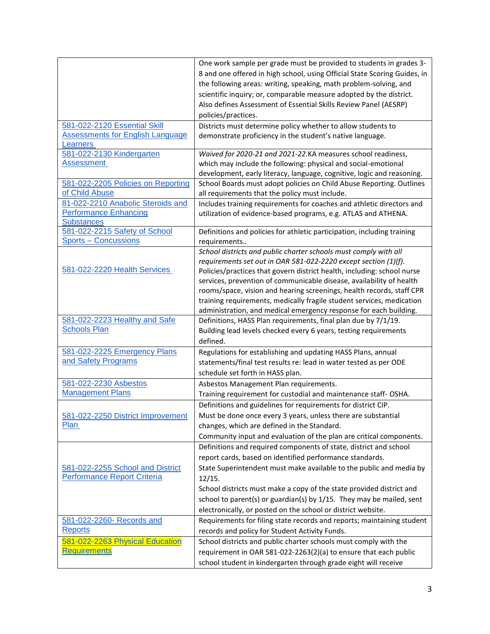|                                         | One work sample per grade must be provided to students in grades 3-       |
|-----------------------------------------|---------------------------------------------------------------------------|
|                                         | 8 and one offered in high school, using Official State Scoring Guides, in |
|                                         | the following areas: writing, speaking, math problem-solving, and         |
|                                         | scientific inquiry; or, comparable measure adopted by the district.       |
|                                         | Also defines Assessment of Essential Skills Review Panel (AESRP)          |
|                                         | policies/practices.                                                       |
| 581-022-2120 Essential Skill            | Districts must determine policy whether to allow students to              |
| <b>Assessments for English Language</b> | demonstrate proficiency in the student's native language.                 |
| <b>Learners</b>                         |                                                                           |
| 581-022-2130 Kindergarten               | Waived for 2020-21 and 2021-22.KA measures school readiness,              |
| Assessment                              | which may include the following: physical and social-emotional            |
|                                         | development, early literacy, language, cognitive, logic and reasoning.    |
| 581-022-2205 Policies on Reporting      | School Boards must adopt policies on Child Abuse Reporting. Outlines      |
| of Child Abuse                          | all requirements that the policy must include.                            |
| 81-022-2210 Anabolic Steroids and       | Includes training requirements for coaches and athletic directors and     |
| <b>Performance Enhancing</b>            | utilization of evidence-based programs, e.g. ATLAS and ATHENA.            |
| <b>Substances</b>                       |                                                                           |
| 581-022-2215 Safety of School           | Definitions and policies for athletic participation, including training   |
| <b>Sports - Concussions</b>             | requirements                                                              |
|                                         | School districts and public charter schools must comply with all          |
|                                         | requirements set out in OAR 581-022-2220 except section (1)(f).           |
| 581-022-2220 Health Services            | Policies/practices that govern district health, including: school nurse   |
|                                         | services, prevention of communicable disease, availability of health      |
|                                         | rooms/space, vision and hearing screenings, health records, staff CPR     |
|                                         | training requirements, medically fragile student services, medication     |
|                                         | administration, and medical emergency response for each building.         |
| 581-022-2223 Healthy and Safe           | Definitions, HASS Plan requirements, final plan due by 7/1/19.            |
| <b>Schools Plan</b>                     | Building lead levels checked every 6 years, testing requirements          |
|                                         | defined.                                                                  |
| 581-022-2225 Emergency Plans            | Regulations for establishing and updating HASS Plans, annual              |
| and Safety Programs                     | statements/final test results re: lead in water tested as per ODE         |
|                                         | schedule set forth in HASS plan.                                          |
| 581-022-2230 Asbestos                   | Asbestos Management Plan requirements.                                    |
| <b>Management Plans</b>                 | Training requirement for custodial and maintenance staff- OSHA.           |
|                                         | Definitions and guidelines for requirements for district CIP.             |
| 581-022-2250 District Improvement       | Must be done once every 3 years, unless there are substantial             |
| Plan                                    | changes, which are defined in the Standard.                               |
|                                         | Community input and evaluation of the plan are critical components.       |
|                                         | Definitions and required components of state, district and school         |
|                                         | report cards, based on identified performance standards.                  |
| 581-022-2255 School and District        | State Superintendent must make available to the public and media by       |
| Performance Report Criteria             | 12/15.                                                                    |
|                                         | School districts must make a copy of the state provided district and      |
|                                         | school to parent(s) or guardian(s) by 1/15. They may be mailed, sent      |
|                                         | electronically, or posted on the school or district website.              |
|                                         |                                                                           |
| 581-022-2260- Records and<br>Reports    | Requirements for filing state records and reports; maintaining student    |
|                                         | records and policy for Student Activity Funds.                            |
| 581-022-2263 Physical Education         | School districts and public charter schools must comply with the          |
| <b>Requirements</b>                     | requirement in OAR 581-022-2263(2)(a) to ensure that each public          |
|                                         | school student in kindergarten through grade eight will receive           |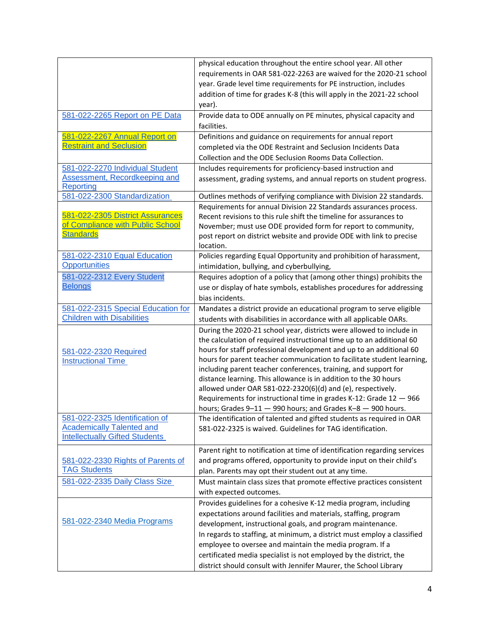|                                                      | physical education throughout the entire school year. All other                                                                           |
|------------------------------------------------------|-------------------------------------------------------------------------------------------------------------------------------------------|
|                                                      | requirements in OAR 581-022-2263 are waived for the 2020-21 school                                                                        |
|                                                      | year. Grade level time requirements for PE instruction, includes                                                                          |
|                                                      | addition of time for grades K-8 (this will apply in the 2021-22 school                                                                    |
|                                                      | year).                                                                                                                                    |
| 581-022-2265 Report on PE Data                       | Provide data to ODE annually on PE minutes, physical capacity and                                                                         |
|                                                      | facilities.                                                                                                                               |
| 581-022-2267 Annual Report on                        | Definitions and guidance on requirements for annual report                                                                                |
| <b>Restraint and Seclusion</b>                       | completed via the ODE Restraint and Seclusion Incidents Data                                                                              |
|                                                      | Collection and the ODE Seclusion Rooms Data Collection.                                                                                   |
| 581-022-2270 Individual Student                      | Includes requirements for proficiency-based instruction and                                                                               |
| Assessment, Recordkeeping and                        | assessment, grading systems, and annual reports on student progress.                                                                      |
| Reporting                                            |                                                                                                                                           |
| 581-022-2300 Standardization                         | Outlines methods of verifying compliance with Division 22 standards.                                                                      |
|                                                      | Requirements for annual Division 22 Standards assurances process.                                                                         |
| 581-022-2305 District Assurances                     | Recent revisions to this rule shift the timeline for assurances to                                                                        |
| of Compliance with Public School                     | November; must use ODE provided form for report to community,                                                                             |
| <b>Standards</b>                                     | post report on district website and provide ODE with link to precise                                                                      |
|                                                      | location.                                                                                                                                 |
| 581-022-2310 Equal Education<br><b>Opportunities</b> | Policies regarding Equal Opportunity and prohibition of harassment,                                                                       |
|                                                      | intimidation, bullying, and cyberbullying,                                                                                                |
| 581-022-2312 Every Student                           | Requires adoption of a policy that (among other things) prohibits the                                                                     |
| <b>Belongs</b>                                       | use or display of hate symbols, establishes procedures for addressing                                                                     |
|                                                      | bias incidents.                                                                                                                           |
| 581-022-2315 Special Education for                   | Mandates a district provide an educational program to serve eligible                                                                      |
| <b>Children with Disabilities</b>                    | students with disabilities in accordance with all applicable OARs.                                                                        |
|                                                      | During the 2020-21 school year, districts were allowed to include in                                                                      |
|                                                      | the calculation of required instructional time up to an additional 60                                                                     |
| 581-022-2320 Required                                | hours for staff professional development and up to an additional 60                                                                       |
| <b>Instructional Time</b>                            | hours for parent teacher communication to facilitate student learning,<br>including parent teacher conferences, training, and support for |
|                                                      | distance learning. This allowance is in addition to the 30 hours                                                                          |
|                                                      | allowed under OAR 581-022-2320(6)(d) and (e), respectively.                                                                               |
|                                                      | Requirements for instructional time in grades K-12: Grade 12 - 966                                                                        |
|                                                      | hours; Grades 9-11 - 990 hours; and Grades K-8 - 900 hours.                                                                               |
| 581-022-2325 Identification of                       | The identification of talented and gifted students as required in OAR                                                                     |
| <b>Academically Talented and</b>                     | 581-022-2325 is waived. Guidelines for TAG identification.                                                                                |
| <b>Intellectually Gifted Students</b>                |                                                                                                                                           |
|                                                      | Parent right to notification at time of identification regarding services                                                                 |
| 581-022-2330 Rights of Parents of                    | and programs offered, opportunity to provide input on their child's                                                                       |
| <b>TAG Students</b>                                  | plan. Parents may opt their student out at any time.                                                                                      |
| 581-022-2335 Daily Class Size                        | Must maintain class sizes that promote effective practices consistent                                                                     |
|                                                      | with expected outcomes.                                                                                                                   |
|                                                      | Provides guidelines for a cohesive K-12 media program, including                                                                          |
|                                                      | expectations around facilities and materials, staffing, program                                                                           |
| 581-022-2340 Media Programs                          | development, instructional goals, and program maintenance.                                                                                |
|                                                      | In regards to staffing, at minimum, a district must employ a classified                                                                   |
|                                                      | employee to oversee and maintain the media program. If a                                                                                  |
|                                                      | certificated media specialist is not employed by the district, the                                                                        |
|                                                      | district should consult with Jennifer Maurer, the School Library                                                                          |
|                                                      |                                                                                                                                           |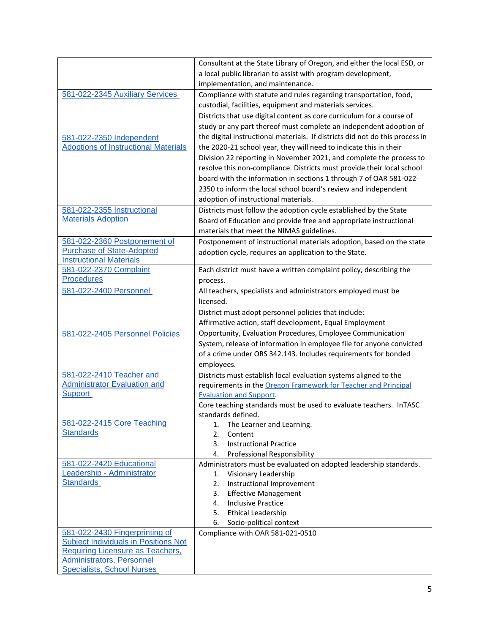|                                                                    | Consultant at the State Library of Oregon, and either the local ESD, or      |
|--------------------------------------------------------------------|------------------------------------------------------------------------------|
|                                                                    | a local public librarian to assist with program development,                 |
|                                                                    | implementation, and maintenance.                                             |
| 581-022-2345 Auxiliary Services                                    | Compliance with statute and rules regarding transportation, food,            |
|                                                                    | custodial, facilities, equipment and materials services.                     |
|                                                                    | Districts that use digital content as core curriculum for a course of        |
|                                                                    | study or any part thereof must complete an independent adoption of           |
| 581-022-2350 Independent                                           | the digital instructional materials. If districts did not do this process in |
| <b>Adoptions of Instructional Materials</b>                        | the 2020-21 school year, they will need to indicate this in their            |
|                                                                    | Division 22 reporting in November 2021, and complete the process to          |
|                                                                    | resolve this non-compliance. Districts must provide their local school       |
|                                                                    | board with the information in sections 1 through 7 of OAR 581-022-           |
|                                                                    |                                                                              |
|                                                                    | 2350 to inform the local school board's review and independent               |
| 581-022-2355 Instructional                                         | adoption of instructional materials.                                         |
| <b>Materials Adoption</b>                                          | Districts must follow the adoption cycle established by the State            |
|                                                                    | Board of Education and provide free and appropriate instructional            |
|                                                                    | materials that meet the NIMAS guidelines.                                    |
| 581-022-2360 Postponement of                                       | Postponement of instructional materials adoption, based on the state         |
| <b>Purchase of State-Adopted</b><br><b>Instructional Materials</b> | adoption cycle, requires an application to the State.                        |
| 581-022-2370 Complaint                                             | Each district must have a written complaint policy, describing the           |
| <b>Procedures</b>                                                  | process.                                                                     |
| 581-022-2400 Personnel                                             | All teachers, specialists and administrators employed must be                |
|                                                                    | licensed.                                                                    |
|                                                                    | District must adopt personnel policies that include:                         |
|                                                                    | Affirmative action, staff development, Equal Employment                      |
| 581-022-2405 Personnel Policies                                    | Opportunity, Evaluation Procedures, Employee Communication                   |
|                                                                    | System, release of information in employee file for anyone convicted         |
|                                                                    | of a crime under ORS 342.143. Includes requirements for bonded               |
|                                                                    | employees.                                                                   |
| 581-022-2410 Teacher and                                           | Districts must establish local evaluation systems aligned to the             |
| <b>Administrator Evaluation and</b>                                | requirements in the Oregon Framework for Teacher and Principal               |
| <b>Support</b>                                                     | <b>Evaluation and Support.</b>                                               |
|                                                                    | Core teaching standards must be used to evaluate teachers. InTASC            |
|                                                                    | standards defined.                                                           |
| 581-022-2415 Core Teaching                                         | 1. The Learner and Learning.                                                 |
| <b>Standards</b>                                                   | 2.<br>Content                                                                |
|                                                                    | <b>Instructional Practice</b><br>3.                                          |
|                                                                    | Professional Responsibility<br>4.                                            |
| 581-022-2420 Educational                                           | Administrators must be evaluated on adopted leadership standards.            |
| Leadership - Administrator                                         | Visionary Leadership<br>1.                                                   |
| <b>Standards</b>                                                   | Instructional Improvement<br>2.                                              |
|                                                                    | <b>Effective Management</b><br>3.                                            |
|                                                                    | <b>Inclusive Practice</b><br>4.                                              |
|                                                                    | <b>Ethical Leadership</b><br>5.                                              |
|                                                                    | Socio-political context<br>6.                                                |
| 581-022-2430 Fingerprinting of                                     | Compliance with OAR 581-021-0510                                             |
| <b>Subject Individuals in Positions Not</b>                        |                                                                              |
| <b>Requiring Licensure as Teachers,</b>                            |                                                                              |
| Administrators, Personnel                                          |                                                                              |
| <b>Specialists, School Nurses</b>                                  |                                                                              |